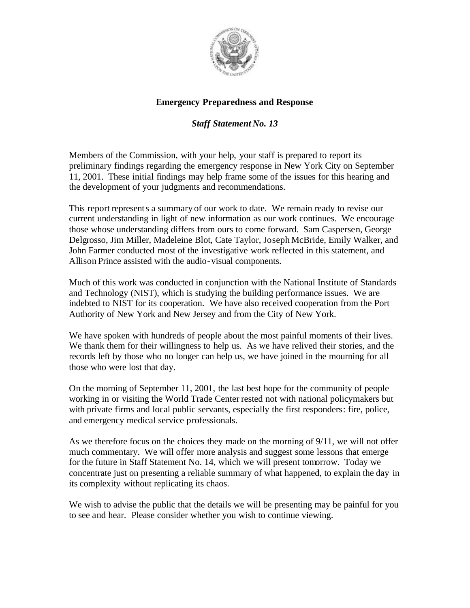

## **Emergency Preparedness and Response**

# *Staff Statement No. 13*

Members of the Commission, with your help, your staff is prepared to report its preliminary findings regarding the emergency response in New York City on September 11, 2001. These initial findings may help frame some of the issues for this hearing and the development of your judgments and recommendations.

This report represents a summary of our work to date. We remain ready to revise our current understanding in light of new information as our work continues. We encourage those whose understanding differs from ours to come forward. Sam Caspersen, George Delgrosso, Jim Miller, Madeleine Blot, Cate Taylor, Joseph McBride, Emily Walker, and John Farmer conducted most of the investigative work reflected in this statement, and Allison Prince assisted with the audio-visual components.

Much of this work was conducted in conjunction with the National Institute of Standards and Technology (NIST), which is studying the building performance issues. We are indebted to NIST for its cooperation. We have also received cooperation from the Port Authority of New York and New Jersey and from the City of New York.

We have spoken with hundreds of people about the most painful moments of their lives. We thank them for their willingness to help us. As we have relived their stories, and the records left by those who no longer can help us, we have joined in the mourning for all those who were lost that day.

On the morning of September 11, 2001, the last best hope for the community of people working in or visiting the World Trade Center rested not with national policymakers but with private firms and local public servants, especially the first responders: fire, police, and emergency medical service professionals.

As we therefore focus on the choices they made on the morning of 9/11, we will not offer much commentary. We will offer more analysis and suggest some lessons that emerge for the future in Staff Statement No. 14, which we will present tomorrow. Today we concentrate just on presenting a reliable summary of what happened, to explain the day in its complexity without replicating its chaos.

We wish to advise the public that the details we will be presenting may be painful for you to see and hear. Please consider whether you wish to continue viewing.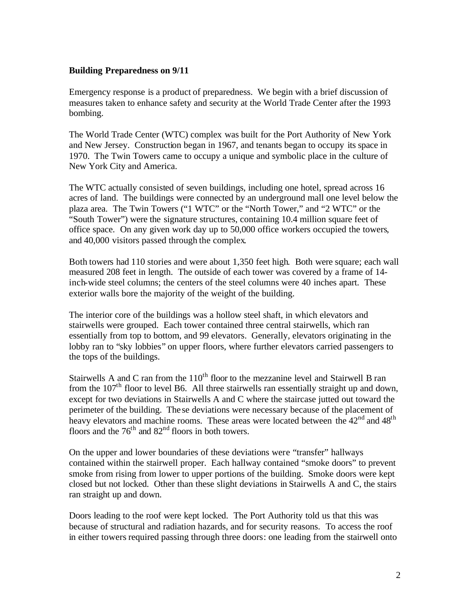### **Building Preparedness on 9/11**

Emergency response is a product of preparedness. We begin with a brief discussion of measures taken to enhance safety and security at the World Trade Center after the 1993 bombing.

The World Trade Center (WTC) complex was built for the Port Authority of New York and New Jersey. Construction began in 1967, and tenants began to occupy its space in 1970. The Twin Towers came to occupy a unique and symbolic place in the culture of New York City and America.

The WTC actually consisted of seven buildings, including one hotel, spread across 16 acres of land. The buildings were connected by an underground mall one level below the plaza area. The Twin Towers ("1 WTC" or the "North Tower," and "2 WTC" or the "South Tower") were the signature structures, containing 10.4 million square feet of office space. On any given work day up to 50,000 office workers occupied the towers, and 40,000 visitors passed through the complex.

Both towers had 110 stories and were about 1,350 feet high. Both were square; each wall measured 208 feet in length. The outside of each tower was covered by a frame of 14 inch-wide steel columns; the centers of the steel columns were 40 inches apart. These exterior walls bore the majority of the weight of the building.

The interior core of the buildings was a hollow steel shaft, in which elevators and stairwells were grouped. Each tower contained three central stairwells, which ran essentially from top to bottom, and 99 elevators. Generally, elevators originating in the lobby ran to "sky lobbies" on upper floors, where further elevators carried passengers to the tops of the buildings.

Stairwells A and C ran from the  $110<sup>th</sup>$  floor to the mezzanine level and Stairwell B ran from the  $107<sup>th</sup>$  floor to level B6. All three stairwells ran essentially straight up and down, except for two deviations in Stairwells A and C where the staircase jutted out toward the perimeter of the building. The se deviations were necessary because of the placement of heavy elevators and machine rooms. These areas were located between the  $42<sup>nd</sup>$  and  $48<sup>th</sup>$ floors and the  $76<sup>th</sup>$  and  $82<sup>nd</sup>$  floors in both towers.

On the upper and lower boundaries of these deviations were "transfer" hallways contained within the stairwell proper. Each hallway contained "smoke doors" to prevent smoke from rising from lower to upper portions of the building. Smoke doors were kept closed but not locked. Other than these slight deviations in Stairwells A and C, the stairs ran straight up and down.

Doors leading to the roof were kept locked. The Port Authority told us that this was because of structural and radiation hazards, and for security reasons. To access the roof in either towers required passing through three doors: one leading from the stairwell onto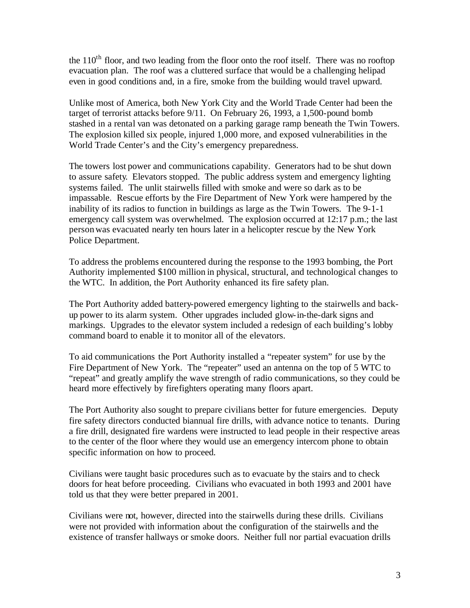the  $110<sup>th</sup>$  floor, and two leading from the floor onto the roof itself. There was no rooftop evacuation plan. The roof was a cluttered surface that would be a challenging helipad even in good conditions and, in a fire, smoke from the building would travel upward.

Unlike most of America, both New York City and the World Trade Center had been the target of terrorist attacks before 9/11. On February 26, 1993, a 1,500-pound bomb stashed in a rental van was detonated on a parking garage ramp beneath the Twin Towers. The explosion killed six people, injured 1,000 more, and exposed vulnerabilities in the World Trade Center's and the City's emergency preparedness.

The towers lost power and communications capability. Generators had to be shut down to assure safety. Elevators stopped. The public address system and emergency lighting systems failed. The unlit stairwells filled with smoke and were so dark as to be impassable. Rescue efforts by the Fire Department of New York were hampered by the inability of its radios to function in buildings as large as the Twin Towers. The 9-1-1 emergency call system was overwhelmed. The explosion occurred at 12:17 p.m.; the last person was evacuated nearly ten hours later in a helicopter rescue by the New York Police Department.

To address the problems encountered during the response to the 1993 bombing, the Port Authority implemented \$100 million in physical, structural, and technological changes to the WTC. In addition, the Port Authority enhanced its fire safety plan.

The Port Authority added battery-powered emergency lighting to the stairwells and backup power to its alarm system. Other upgrades included glow-in-the-dark signs and markings. Upgrades to the elevator system included a redesign of each building's lobby command board to enable it to monitor all of the elevators.

To aid communications the Port Authority installed a "repeater system" for use by the Fire Department of New York. The "repeater" used an antenna on the top of 5 WTC to "repeat" and greatly amplify the wave strength of radio communications, so they could be heard more effectively by firefighters operating many floors apart.

The Port Authority also sought to prepare civilians better for future emergencies. Deputy fire safety directors conducted biannual fire drills, with advance notice to tenants. During a fire drill, designated fire wardens were instructed to lead people in their respective areas to the center of the floor where they would use an emergency intercom phone to obtain specific information on how to proceed.

Civilians were taught basic procedures such as to evacuate by the stairs and to check doors for heat before proceeding. Civilians who evacuated in both 1993 and 2001 have told us that they were better prepared in 2001.

Civilians were not, however, directed into the stairwells during these drills. Civilians were not provided with information about the configuration of the stairwells and the existence of transfer hallways or smoke doors. Neither full nor partial evacuation drills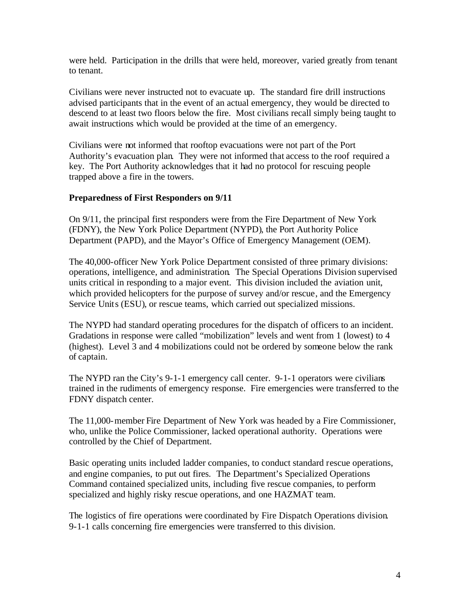were held. Participation in the drills that were held, moreover, varied greatly from tenant to tenant.

Civilians were never instructed not to evacuate up. The standard fire drill instructions advised participants that in the event of an actual emergency, they would be directed to descend to at least two floors below the fire. Most civilians recall simply being taught to await instructions which would be provided at the time of an emergency.

Civilians were not informed that rooftop evacuations were not part of the Port Authority's evacuation plan. They were not informed that access to the roof required a key. The Port Authority acknowledges that it had no protocol for rescuing people trapped above a fire in the towers.

### **Preparedness of First Responders on 9/11**

On 9/11, the principal first responders were from the Fire Department of New York (FDNY), the New York Police Department (NYPD), the Port Authority Police Department (PAPD), and the Mayor's Office of Emergency Management (OEM).

The 40,000-officer New York Police Department consisted of three primary divisions: operations, intelligence, and administration. The Special Operations Division supervised units critical in responding to a major event. This division included the aviation unit, which provided helicopters for the purpose of survey and/or rescue, and the Emergency Service Units (ESU), or rescue teams, which carried out specialized missions.

The NYPD had standard operating procedures for the dispatch of officers to an incident. Gradations in response were called "mobilization" levels and went from 1 (lowest) to 4 (highest). Level 3 and 4 mobilizations could not be ordered by someone below the rank of captain.

The NYPD ran the City's 9-1-1 emergency call center. 9-1-1 operators were civilians trained in the rudiments of emergency response. Fire emergencies were transferred to the FDNY dispatch center.

The 11,000-member Fire Department of New York was headed by a Fire Commissioner, who, unlike the Police Commissioner, lacked operational authority. Operations were controlled by the Chief of Department.

Basic operating units included ladder companies, to conduct standard rescue operations, and engine companies, to put out fires. The Department's Specialized Operations Command contained specialized units, including five rescue companies, to perform specialized and highly risky rescue operations, and one HAZMAT team.

The logistics of fire operations were coordinated by Fire Dispatch Operations division. 9-1-1 calls concerning fire emergencies were transferred to this division.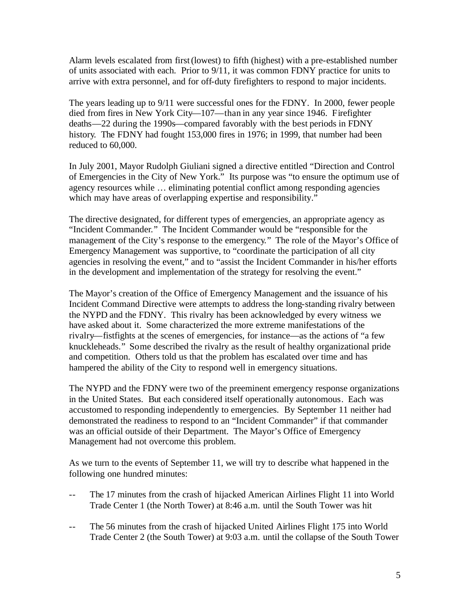Alarm levels escalated from first(lowest) to fifth (highest) with a pre-established number of units associated with each. Prior to 9/11, it was common FDNY practice for units to arrive with extra personnel, and for off-duty firefighters to respond to major incidents.

The years leading up to 9/11 were successful ones for the FDNY. In 2000, fewer people died from fires in New York City—107—than in any year since 1946. Firefighter deaths—22 during the 1990s—compared favorably with the best periods in FDNY history. The FDNY had fought 153,000 fires in 1976; in 1999, that number had been reduced to 60,000.

In July 2001, Mayor Rudolph Giuliani signed a directive entitled "Direction and Control of Emergencies in the City of New York." Its purpose was "to ensure the optimum use of agency resources while … eliminating potential conflict among responding agencies which may have areas of overlapping expertise and responsibility."

The directive designated, for different types of emergencies, an appropriate agency as "Incident Commander." The Incident Commander would be "responsible for the management of the City's response to the emergency." The role of the Mayor's Office of Emergency Management was supportive, to "coordinate the participation of all city agencies in resolving the event," and to "assist the Incident Commander in his/her efforts in the development and implementation of the strategy for resolving the event."

The Mayor's creation of the Office of Emergency Management and the issuance of his Incident Command Directive were attempts to address the long-standing rivalry between the NYPD and the FDNY. This rivalry has been acknowledged by every witness we have asked about it. Some characterized the more extreme manifestations of the rivalry—fistfights at the scenes of emergencies, for instance—as the actions of "a few knuckleheads." Some described the rivalry as the result of healthy organizational pride and competition. Others told us that the problem has escalated over time and has hampered the ability of the City to respond well in emergency situations.

The NYPD and the FDNY were two of the preeminent emergency response organizations in the United States. But each considered itself operationally autonomous. Each was accustomed to responding independently to emergencies. By September 11 neither had demonstrated the readiness to respond to an "Incident Commander" if that commander was an official outside of their Department. The Mayor's Office of Emergency Management had not overcome this problem.

As we turn to the events of September 11, we will try to describe what happened in the following one hundred minutes:

- -- The 17 minutes from the crash of hijacked American Airlines Flight 11 into World Trade Center 1 (the North Tower) at 8:46 a.m. until the South Tower was hit
- -- The 56 minutes from the crash of hijacked United Airlines Flight 175 into World Trade Center 2 (the South Tower) at 9:03 a.m. until the collapse of the South Tower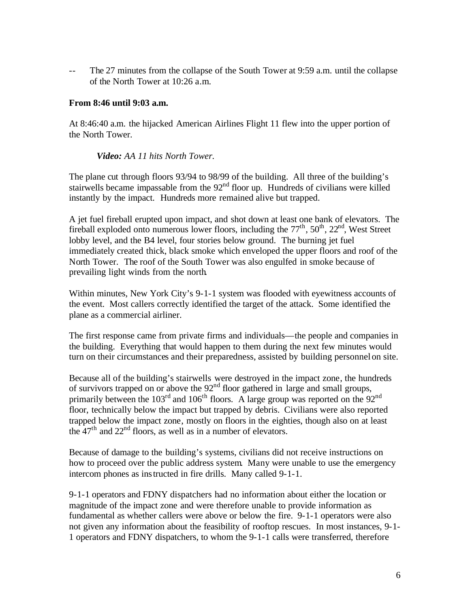-- The 27 minutes from the collapse of the South Tower at 9:59 a.m. until the collapse of the North Tower at 10:26 a.m.

### **From 8:46 until 9:03 a.m.**

At 8:46:40 a.m. the hijacked American Airlines Flight 11 flew into the upper portion of the North Tower.

## *Video: AA 11 hits North Tower.*

The plane cut through floors 93/94 to 98/99 of the building. All three of the building's stairwells became impassable from the  $92<sup>nd</sup>$  floor up. Hundreds of civilians were killed instantly by the impact. Hundreds more remained alive but trapped.

A jet fuel fireball erupted upon impact, and shot down at least one bank of elevators. The fireball exploded onto numerous lower floors, including the  $77<sup>th</sup>$ ,  $50<sup>th</sup>$ ,  $22<sup>nd</sup>$ , West Street lobby level, and the B4 level, four stories below ground. The burning jet fuel immediately created thick, black smoke which enveloped the upper floors and roof of the North Tower. The roof of the South Tower was also engulfed in smoke because of prevailing light winds from the north.

Within minutes, New York City's 9-1-1 system was flooded with eyewitness accounts of the event. Most callers correctly identified the target of the attack. Some identified the plane as a commercial airliner.

The first response came from private firms and individuals—the people and companies in the building. Everything that would happen to them during the next few minutes would turn on their circumstances and their preparedness, assisted by building personnel on site.

Because all of the building's stairwells were destroyed in the impact zone, the hundreds of survivors trapped on or above the 92<sup>nd</sup> floor gathered in large and small groups, primarily between the  $103<sup>rd</sup>$  and  $106<sup>th</sup>$  floors. A large group was reported on the  $92<sup>nd</sup>$ floor, technically below the impact but trapped by debris. Civilians were also reported trapped below the impact zone, mostly on floors in the eighties, though also on at least the  $47<sup>th</sup>$  and  $22<sup>nd</sup>$  floors, as well as in a number of elevators.

Because of damage to the building's systems, civilians did not receive instructions on how to proceed over the public address system. Many were unable to use the emergency intercom phones as instructed in fire drills. Many called 9-1-1.

9-1-1 operators and FDNY dispatchers had no information about either the location or magnitude of the impact zone and were therefore unable to provide information as fundamental as whether callers were above or below the fire. 9-1-1 operators were also not given any information about the feasibility of rooftop rescues. In most instances, 9-1- 1 operators and FDNY dispatchers, to whom the 9-1-1 calls were transferred, therefore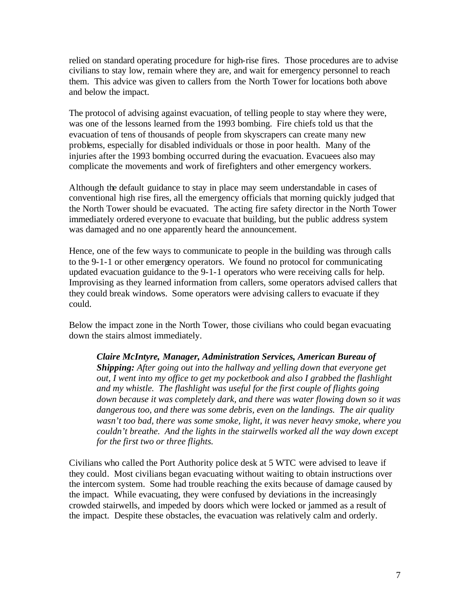relied on standard operating procedure for high-rise fires. Those procedures are to advise civilians to stay low, remain where they are, and wait for emergency personnel to reach them. This advice was given to callers from the North Tower for locations both above and below the impact.

The protocol of advising against evacuation, of telling people to stay where they were, was one of the lessons learned from the 1993 bombing. Fire chiefs told us that the evacuation of tens of thousands of people from skyscrapers can create many new problems, especially for disabled individuals or those in poor health. Many of the injuries after the 1993 bombing occurred during the evacuation. Evacuees also may complicate the movements and work of firefighters and other emergency workers.

Although the default guidance to stay in place may seem understandable in cases of conventional high rise fires, all the emergency officials that morning quickly judged that the North Tower should be evacuated. The acting fire safety director in the North Tower immediately ordered everyone to evacuate that building, but the public address system was damaged and no one apparently heard the announcement.

Hence, one of the few ways to communicate to people in the building was through calls to the 9-1-1 or other emergency operators. We found no protocol for communicating updated evacuation guidance to the 9-1-1 operators who were receiving calls for help. Improvising as they learned information from callers, some operators advised callers that they could break windows. Some operators were advising callers to evacuate if they could.

Below the impact zone in the North Tower, those civilians who could began evacuating down the stairs almost immediately.

*Claire McIntyre, Manager, Administration Services, American Bureau of Shipping: After going out into the hallway and yelling down that everyone get out, I went into my office to get my pocketbook and also I grabbed the flashlight and my whistle. The flashlight was useful for the first couple of flights going down because it was completely dark, and there was water flowing down so it was dangerous too, and there was some debris, even on the landings. The air quality wasn't too bad, there was some smoke, light, it was never heavy smoke, where you couldn't breathe. And the lights in the stairwells worked all the way down except for the first two or three flights.*

Civilians who called the Port Authority police desk at 5 WTC were advised to leave if they could. Most civilians began evacuating without waiting to obtain instructions over the intercom system. Some had trouble reaching the exits because of damage caused by the impact. While evacuating, they were confused by deviations in the increasingly crowded stairwells, and impeded by doors which were locked or jammed as a result of the impact. Despite these obstacles, the evacuation was relatively calm and orderly.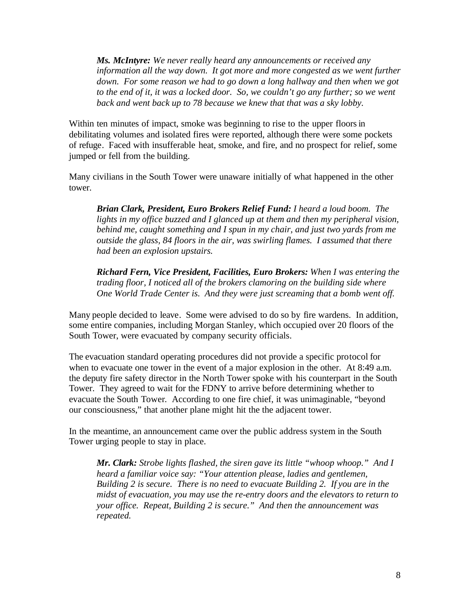*Ms. McIntyre: We never really heard any announcements or received any information all the way down. It got more and more congested as we went further down. For some reason we had to go down a long hallway and then when we got*  to the end of it, it was a locked door. So, we couldn't go any further; so we went *back and went back up to 78 because we knew that that was a sky lobby.*

Within ten minutes of impact, smoke was beginning to rise to the upper floors in debilitating volumes and isolated fires were reported, although there were some pockets of refuge. Faced with insufferable heat, smoke, and fire, and no prospect for relief, some jumped or fell from the building.

Many civilians in the South Tower were unaware initially of what happened in the other tower.

*Brian Clark, President, Euro Brokers Relief Fund: I heard a loud boom. The lights in my office buzzed and I glanced up at them and then my peripheral vision, behind me, caught something and I spun in my chair, and just two yards from me outside the glass, 84 floors in the air, was swirling flames. I assumed that there had been an explosion upstairs.*

*Richard Fern, Vice President, Facilities, Euro Brokers: When I was entering the trading floor, I noticed all of the brokers clamoring on the building side where One World Trade Center is. And they were just screaming that a bomb went off.*

Many people decided to leave. Some were advised to do so by fire wardens. In addition, some entire companies, including Morgan Stanley, which occupied over 20 floors of the South Tower, were evacuated by company security officials.

The evacuation standard operating procedures did not provide a specific protocol for when to evacuate one tower in the event of a major explosion in the other. At 8:49 a.m. the deputy fire safety director in the North Tower spoke with his counterpart in the South Tower. They agreed to wait for the FDNY to arrive before determining whether to evacuate the South Tower. According to one fire chief, it was unimaginable, "beyond our consciousness," that another plane might hit the the adjacent tower.

In the meantime, an announcement came over the public address system in the South Tower urging people to stay in place.

*Mr. Clark: Strobe lights flashed, the siren gave its little "whoop whoop." And I heard a familiar voice say: "Your attention please, ladies and gentlemen, Building 2 is secure. There is no need to evacuate Building 2. If you are in the midst of evacuation, you may use the re-entry doors and the elevators to return to your office. Repeat, Building 2 is secure." And then the announcement was repeated.*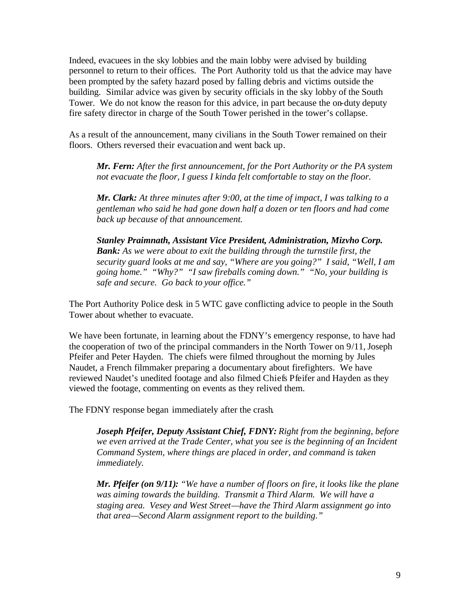Indeed, evacuees in the sky lobbies and the main lobby were advised by building personnel to return to their offices. The Port Authority told us that the advice may have been prompted by the safety hazard posed by falling debris and victims outside the building. Similar advice was given by security officials in the sky lobby of the South Tower. We do not know the reason for this advice, in part because the on-duty deputy fire safety director in charge of the South Tower perished in the tower's collapse.

As a result of the announcement, many civilians in the South Tower remained on their floors. Others reversed their evacuation and went back up.

*Mr. Fern: After the first announcement, for the Port Authority or the PA system not evacuate the floor, I guess I kinda felt comfortable to stay on the floor.*

*Mr. Clark: At three minutes after 9:00, at the time of impact, I was talking to a gentleman who said he had gone down half a dozen or ten floors and had come back up because of that announcement.*

*Stanley Praimnath, Assistant Vice President, Administration, Mizvho Corp. Bank: As we were about to exit the building through the turnstile first, the security guard looks at me and say, "Where are you going?" I said, "Well, I am going home." "Why?" "I saw fireballs coming down." "No, your building is safe and secure. Go back to your office."*

The Port Authority Police desk in 5 WTC gave conflicting advice to people in the South Tower about whether to evacuate.

We have been fortunate, in learning about the FDNY's emergency response, to have had the cooperation of two of the principal commanders in the North Tower on 9/11, Joseph Pfeifer and Peter Hayden. The chiefs were filmed throughout the morning by Jules Naudet, a French filmmaker preparing a documentary about firefighters. We have reviewed Naudet's unedited footage and also filmed Chiefs Pfeifer and Hayden as they viewed the footage, commenting on events as they relived them.

The FDNY response began immediately after the crash.

*Joseph Pfeifer, Deputy Assistant Chief, FDNY: Right from the beginning, before we even arrived at the Trade Center, what you see is the beginning of an Incident Command System, where things are placed in order, and command is taken immediately.*

*Mr. Pfeifer (on 9/11): "We have a number of floors on fire, it looks like the plane was aiming towards the building. Transmit a Third Alarm. We will have a staging area. Vesey and West Street—have the Third Alarm assignment go into that area—Second Alarm assignment report to the building."*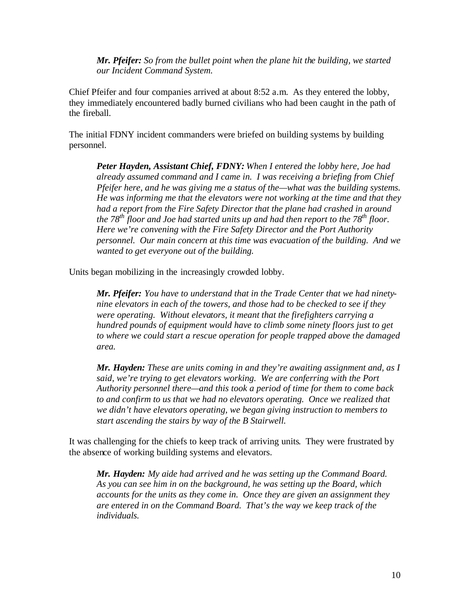*Mr. Pfeifer: So from the bullet point when the plane hit the building, we started our Incident Command System.*

Chief Pfeifer and four companies arrived at about 8:52 a.m. As they entered the lobby, they immediately encountered badly burned civilians who had been caught in the path of the fireball.

The initial FDNY incident commanders were briefed on building systems by building personnel.

*Peter Hayden, Assistant Chief, FDNY: When I entered the lobby here, Joe had already assumed command and I came in. I was receiving a briefing from Chief Pfeifer here, and he was giving me a status of the—what was the building systems. He was informing me that the elevators were not working at the time and that they had a report from the Fire Safety Director that the plane had crashed in around the 78th floor and Joe had started units up and had then report to the 78th floor. Here we're convening with the Fire Safety Director and the Port Authority personnel. Our main concern at this time was evacuation of the building. And we wanted to get everyone out of the building.*

Units began mobilizing in the increasingly crowded lobby.

*Mr. Pfeifer: You have to understand that in the Trade Center that we had ninetynine elevators in each of the towers, and those had to be checked to see if they were operating. Without elevators, it meant that the firefighters carrying a hundred pounds of equipment would have to climb some ninety floors just to get to where we could start a rescue operation for people trapped above the damaged area.*

*Mr. Hayden: These are units coming in and they're awaiting assignment and, as I said, we're trying to get elevators working. We are conferring with the Port Authority personnel there—and this took a period of time for them to come back to and confirm to us that we had no elevators operating. Once we realized that we didn't have elevators operating, we began giving instruction to members to start ascending the stairs by way of the B Stairwell.*

It was challenging for the chiefs to keep track of arriving units. They were frustrated by the absence of working building systems and elevators.

*Mr. Hayden: My aide had arrived and he was setting up the Command Board. As you can see him in on the background, he was setting up the Board, which accounts for the units as they come in. Once they are given an assignment they are entered in on the Command Board. That's the way we keep track of the individuals.*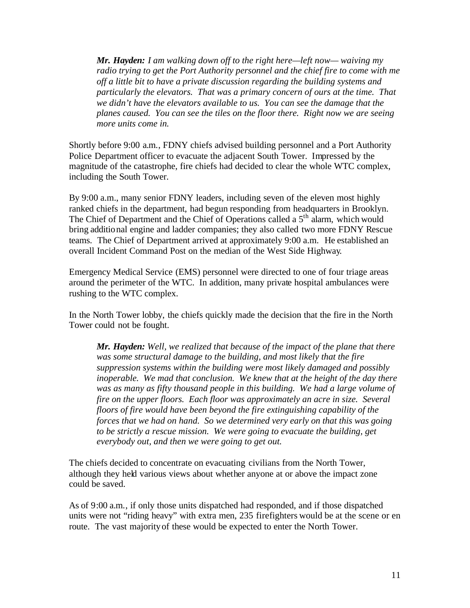*Mr. Hayden: I am walking down off to the right here—left now— waiving my radio trying to get the Port Authority personnel and the chief fire to come with me off a little bit to have a private discussion regarding the building systems and particularly the elevators. That was a primary concern of ours at the time. That we didn't have the elevators available to us. You can see the damage that the planes caused. You can see the tiles on the floor there. Right now we are seeing more units come in.*

Shortly before 9:00 a.m., FDNY chiefs advised building personnel and a Port Authority Police Department officer to evacuate the adjacent South Tower. Impressed by the magnitude of the catastrophe, fire chiefs had decided to clear the whole WTC complex, including the South Tower.

By 9:00 a.m., many senior FDNY leaders, including seven of the eleven most highly ranked chiefs in the department, had begun responding from headquarters in Brooklyn. The Chief of Department and the Chief of Operations called a 5<sup>th</sup> alarm, which would bring additional engine and ladder companies; they also called two more FDNY Rescue teams. The Chief of Department arrived at approximately 9:00 a.m. He established an overall Incident Command Post on the median of the West Side Highway.

Emergency Medical Service (EMS) personnel were directed to one of four triage areas around the perimeter of the WTC. In addition, many private hospital ambulances were rushing to the WTC complex.

In the North Tower lobby, the chiefs quickly made the decision that the fire in the North Tower could not be fought.

*Mr. Hayden: Well, we realized that because of the impact of the plane that there was some structural damage to the building, and most likely that the fire suppression systems within the building were most likely damaged and possibly inoperable. We mad that conclusion. We knew that at the height of the day there*  was as many as fifty thousand people in this building. We had a large volume of *fire on the upper floors. Each floor was approximately an acre in size. Several floors of fire would have been beyond the fire extinguishing capability of the forces that we had on hand. So we determined very early on that this was going to be strictly a rescue mission. We were going to evacuate the building, get everybody out, and then we were going to get out.*

The chiefs decided to concentrate on evacuating civilians from the North Tower, although they held various views about whether anyone at or above the impact zone could be saved.

As of 9:00 a.m., if only those units dispatched had responded, and if those dispatched units were not "riding heavy" with extra men, 235 firefighters would be at the scene or en route. The vast majorityof these would be expected to enter the North Tower.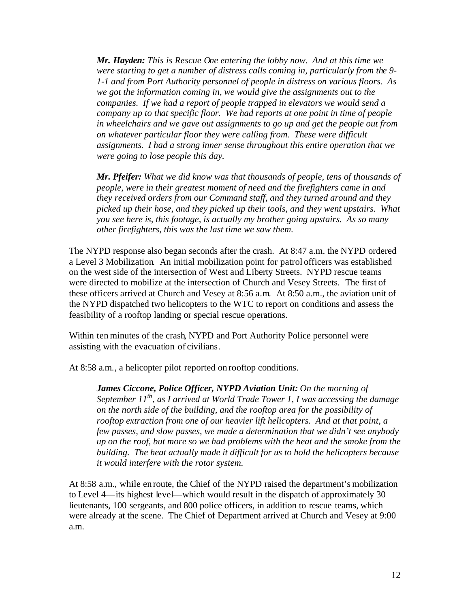*Mr. Hayden: This is Rescue One entering the lobby now. And at this time we were starting to get a number of distress calls coming in, particularly from the 9- 1-1 and from Port Authority personnel of people in distress on various floors. As we got the information coming in, we would give the assignments out to the companies. If we had a report of people trapped in elevators we would send a company up to that specific floor. We had reports at one point in time of people in wheelchairs and we gave out assignments to go up and get the people out from on whatever particular floor they were calling from. These were difficult assignments. I had a strong inner sense throughout this entire operation that we were going to lose people this day.*

*Mr. Pfeifer: What we did know was that thousands of people, tens of thousands of people, were in their greatest moment of need and the firefighters came in and they received orders from our Command staff, and they turned around and they picked up their hose, and they picked up their tools, and they went upstairs. What you see here is, this footage, is actually my brother going upstairs. As so many other firefighters, this was the last time we saw them.*

The NYPD response also began seconds after the crash. At 8:47 a.m. the NYPD ordered a Level 3 Mobilization. An initial mobilization point for patrol officers was established on the west side of the intersection of West and Liberty Streets. NYPD rescue teams were directed to mobilize at the intersection of Church and Vesey Streets. The first of these officers arrived at Church and Vesey at 8:56 a.m. At 8:50 a.m., the aviation unit of the NYPD dispatched two helicopters to the WTC to report on conditions and assess the feasibility of a rooftop landing or special rescue operations.

Within ten minutes of the crash, NYPD and Port Authority Police personnel were assisting with the evacuation of civilians.

At 8:58 a.m., a helicopter pilot reported on rooftop conditions.

*James Ciccone, Police Officer, NYPD Aviation Unit: On the morning of September 11th, as I arrived at World Trade Tower 1, I was accessing the damage on the north side of the building, and the rooftop area for the possibility of rooftop extraction from one of our heavier lift helicopters. And at that point, a few passes, and slow passes, we made a determination that we didn't see anybody up on the roof, but more so we had problems with the heat and the smoke from the building. The heat actually made it difficult for us to hold the helicopters because it would interfere with the rotor system.*

At 8:58 a.m., while en route, the Chief of the NYPD raised the department's mobilization to Level 4—its highest level—which would result in the dispatch of approximately 30 lieutenants, 100 sergeants, and 800 police officers, in addition to rescue teams, which were already at the scene. The Chief of Department arrived at Church and Vesey at 9:00 a.m.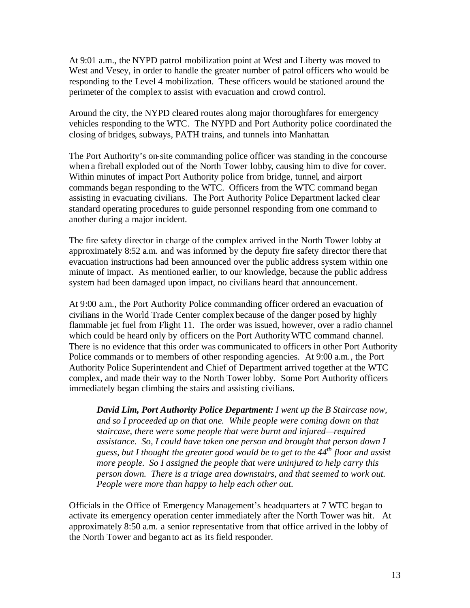At 9:01 a.m., the NYPD patrol mobilization point at West and Liberty was moved to West and Vesey, in order to handle the greater number of patrol officers who would be responding to the Level 4 mobilization. These officers would be stationed around the perimeter of the complex to assist with evacuation and crowd control.

Around the city, the NYPD cleared routes along major thoroughfares for emergency vehicles responding to the WTC. The NYPD and Port Authority police coordinated the closing of bridges, subways, PATH trains, and tunnels into Manhattan.

The Port Authority's on-site commanding police officer was standing in the concourse when a fireball exploded out of the North Tower lobby, causing him to dive for cover. Within minutes of impact Port Authority police from bridge, tunnel, and airport commands began responding to the WTC. Officers from the WTC command began assisting in evacuating civilians. The Port Authority Police Department lacked clear standard operating procedures to guide personnel responding from one command to another during a major incident.

The fire safety director in charge of the complex arrived in the North Tower lobby at approximately 8:52 a.m. and was informed by the deputy fire safety director there that evacuation instructions had been announced over the public address system within one minute of impact. As mentioned earlier, to our knowledge, because the public address system had been damaged upon impact, no civilians heard that announcement.

At 9:00 a.m., the Port Authority Police commanding officer ordered an evacuation of civilians in the World Trade Center complex because of the danger posed by highly flammable jet fuel from Flight 11. The order was issued, however, over a radio channel which could be heard only by officers on the Port Authority WTC command channel. There is no evidence that this order was communicated to officers in other Port Authority Police commands or to members of other responding agencies. At 9:00 a.m., the Port Authority Police Superintendent and Chief of Department arrived together at the WTC complex, and made their way to the North Tower lobby. Some Port Authority officers immediately began climbing the stairs and assisting civilians.

*David Lim, Port Authority Police Department: I went up the B Staircase now, and so I proceeded up on that one. While people were coming down on that staircase, there were some people that were burnt and injured—required assistance. So, I could have taken one person and brought that person down I guess, but I thought the greater good would be to get to the 44th floor and assist more people. So I assigned the people that were uninjured to help carry this person down. There is a triage area downstairs, and that seemed to work out. People were more than happy to help each other out.*

Officials in the Office of Emergency Management's headquarters at 7 WTC began to activate its emergency operation center immediately after the North Tower was hit. At approximately 8:50 a.m. a senior representative from that office arrived in the lobby of the North Tower and began to act as its field responder.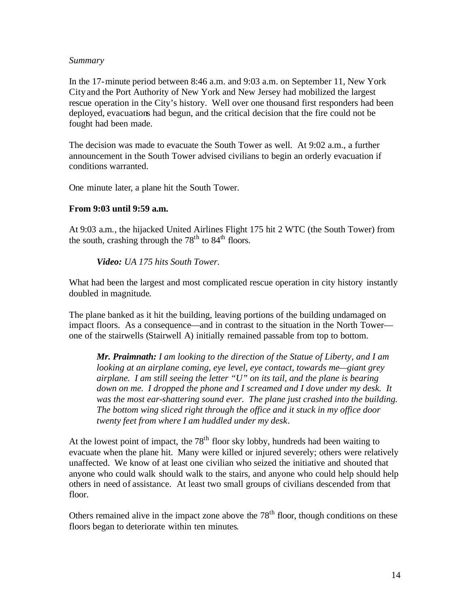#### *Summary*

In the 17-minute period between 8:46 a.m. and 9:03 a.m. on September 11, New York City and the Port Authority of New York and New Jersey had mobilized the largest rescue operation in the City's history. Well over one thousand first responders had been deployed, evacuations had begun, and the critical decision that the fire could not be fought had been made.

The decision was made to evacuate the South Tower as well. At 9:02 a.m., a further announcement in the South Tower advised civilians to begin an orderly evacuation if conditions warranted.

One minute later, a plane hit the South Tower.

### **From 9:03 until 9:59 a.m.**

At 9:03 a.m., the hijacked United Airlines Flight 175 hit 2 WTC (the South Tower) from the south, crashing through the  $78<sup>th</sup>$  to  $84<sup>th</sup>$  floors.

*Video: UA 175 hits South Tower.*

What had been the largest and most complicated rescue operation in city history instantly doubled in magnitude.

The plane banked as it hit the building, leaving portions of the building undamaged on impact floors. As a consequence—and in contrast to the situation in the North Tower one of the stairwells (Stairwell A) initially remained passable from top to bottom.

*Mr. Praimnath: I am looking to the direction of the Statue of Liberty, and I am looking at an airplane coming, eye level, eye contact, towards me—giant grey airplane. I am still seeing the letter "U" on its tail, and the plane is bearing down on me. I dropped the phone and I screamed and I dove under my desk. It was the most ear-shattering sound ever. The plane just crashed into the building. The bottom wing sliced right through the office and it stuck in my office door twenty feet from where I am huddled under my desk.*

At the lowest point of impact, the  $78<sup>th</sup>$  floor sky lobby, hundreds had been waiting to evacuate when the plane hit. Many were killed or injured severely; others were relatively unaffected. We know of at least one civilian who seized the initiative and shouted that anyone who could walk should walk to the stairs, and anyone who could help should help others in need of assistance. At least two small groups of civilians descended from that floor.

Others remained alive in the impact zone above the  $78<sup>th</sup>$  floor, though conditions on these floors began to deteriorate within ten minutes.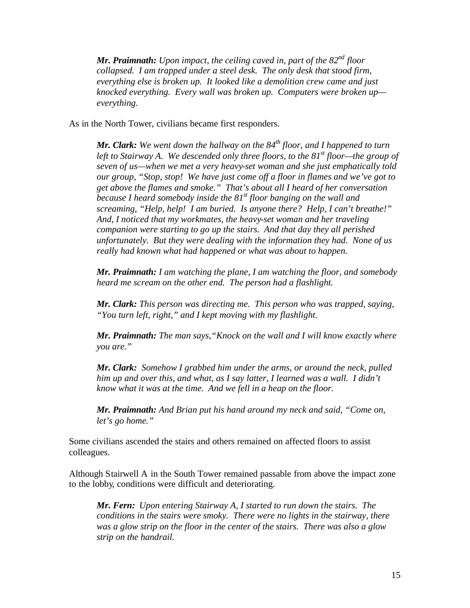*Mr. Praimnath: Upon impact, the ceiling caved in, part of the 82nd floor collapsed. I am trapped under a steel desk. The only desk that stood firm, everything else is broken up. It looked like a demolition crew came and just knocked everything. Every wall was broken up. Computers were broken up everything.* 

As in the North Tower, civilians became first responders.

*Mr. Clark: We went down the hallway on the 84th floor, and I happened to turn left to Stairway A. We descended only three floors, to the 81st floor—the group of seven of us—when we met a very heavy-set woman and she just emphatically told our group, "Stop, stop! We have just come off a floor in flames and we've got to get above the flames and smoke." That's about all I heard of her conversation because I heard somebody inside the 81st floor banging on the wall and screaming, "Help, help! I am buried. Is anyone there? Help, I can't breathe!" And, I noticed that my workmates, the heavy-set woman and her traveling companion were starting to go up the stairs. And that day they all perished unfortunately. But they were dealing with the information they had. None of us really had known what had happened or what was about to happen.*

*Mr. Praimnath: I am watching the plane, I am watching the floor, and somebody heard me scream on the other end. The person had a flashlight.*

*Mr. Clark: This person was directing me. This person who was trapped, saying, "You turn left, right," and I kept moving with my flashlight.*

*Mr. Praimnath: The man says,"Knock on the wall and I will know exactly where you are."*

*Mr. Clark: Somehow I grabbed him under the arms, or around the neck, pulled him up and over this, and what, as I say latter, I learned was a wall. I didn't know what it was at the time. And we fell in a heap on the floor.*

*Mr. Praimnath: And Brian put his hand around my neck and said, "Come on, let's go home."*

Some civilians ascended the stairs and others remained on affected floors to assist colleagues.

Although Stairwell A in the South Tower remained passable from above the impact zone to the lobby, conditions were difficult and deteriorating.

*Mr. Fern: Upon entering Stairway A, I started to run down the stairs. The conditions in the stairs were smoky. There were no lights in the stairway, there was a glow strip on the floor in the center of the stairs. There was also a glow strip on the handrail.*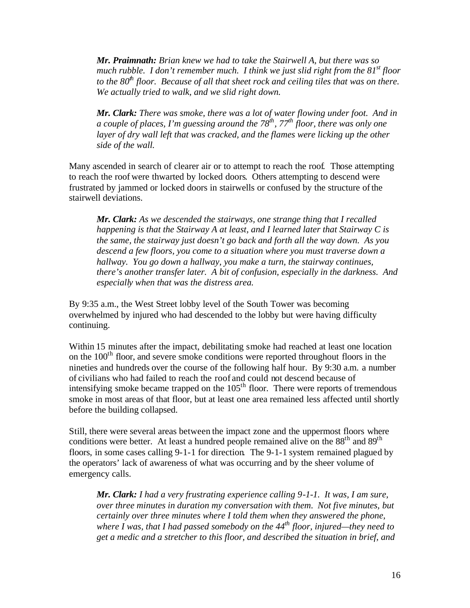*Mr. Praimnath: Brian knew we had to take the Stairwell A, but there was so much rubble. I don't remember much. I think we just slid right from the 81st floor to the 80th floor. Because of all that sheet rock and ceiling tiles that was on there. We actually tried to walk, and we slid right down.*

*Mr. Clark: There was smoke, there was a lot of water flowing under foot. And in a couple of places, I'm guessing around the 78th, 77th floor, there was only one layer of dry wall left that was cracked, and the flames were licking up the other side of the wall.*

Many ascended in search of clearer air or to attempt to reach the roof. Those attempting to reach the roof were thwarted by locked doors. Others attempting to descend were frustrated by jammed or locked doors in stairwells or confused by the structure of the stairwell deviations.

*Mr. Clark: As we descended the stairways, one strange thing that I recalled happening is that the Stairway A at least, and I learned later that Stairway C is the same, the stairway just doesn't go back and forth all the way down. As you descend a few floors, you come to a situation where you must traverse down a hallway. You go down a hallway, you make a turn, the stairway continues, there's another transfer later. A bit of confusion, especially in the darkness. And especially when that was the distress area.*

By 9:35 a.m., the West Street lobby level of the South Tower was becoming overwhelmed by injured who had descended to the lobby but were having difficulty continuing.

Within 15 minutes after the impact, debilitating smoke had reached at least one location on the 100<sup>th</sup> floor, and severe smoke conditions were reported throughout floors in the nineties and hundreds over the course of the following half hour. By 9:30 a.m. a number of civilians who had failed to reach the roof and could not descend because of intensifying smoke became trapped on the  $105<sup>th</sup>$  floor. There were reports of tremendous smoke in most areas of that floor, but at least one area remained less affected until shortly before the building collapsed.

Still, there were several areas between the impact zone and the uppermost floors where conditions were better. At least a hundred people remained alive on the 88<sup>th</sup> and 89<sup>th</sup> floors, in some cases calling 9-1-1 for direction. The 9-1-1 system remained plagued by the operators' lack of awareness of what was occurring and by the sheer volume of emergency calls.

*Mr. Clark: I had a very frustrating experience calling 9-1-1. It was, I am sure, over three minutes in duration my conversation with them. Not five minutes, but certainly over three minutes where I told them when they answered the phone, where I was, that I had passed somebody on the 44th floor, injured—they need to get a medic and a stretcher to this floor, and described the situation in brief, and*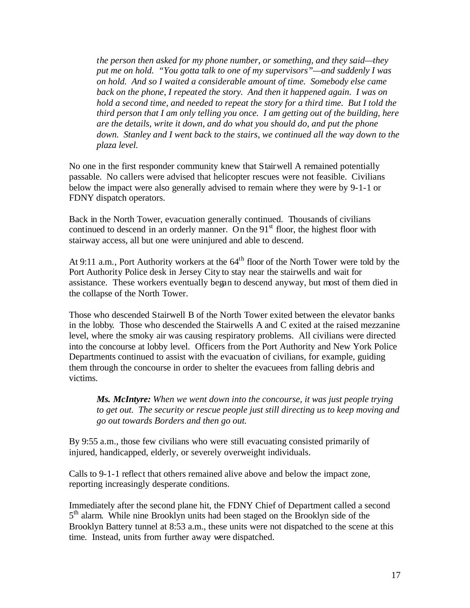*the person then asked for my phone number, or something, and they said—they put me on hold. "You gotta talk to one of my supervisors"—and suddenly I was on hold. And so I waited a considerable amount of time. Somebody else came back on the phone, I repeated the story. And then it happened again. I was on hold a second time, and needed to repeat the story for a third time. But I told the third person that I am only telling you once. I am getting out of the building, here are the details, write it down, and do what you should do, and put the phone down. Stanley and I went back to the stairs, we continued all the way down to the plaza level.*

No one in the first responder community knew that Stairwell A remained potentially passable. No callers were advised that helicopter rescues were not feasible. Civilians below the impact were also generally advised to remain where they were by 9-1-1 or FDNY dispatch operators.

Back in the North Tower, evacuation generally continued. Thousands of civilians continued to descend in an orderly manner. On the  $91<sup>st</sup>$  floor, the highest floor with stairway access, all but one were uninjured and able to descend.

At 9:11 a.m., Port Authority workers at the  $64<sup>th</sup>$  floor of the North Tower were told by the Port Authority Police desk in Jersey City to stay near the stairwells and wait for assistance. These workers eventually began to descend anyway, but most of them died in the collapse of the North Tower.

Those who descended Stairwell B of the North Tower exited between the elevator banks in the lobby. Those who descended the Stairwells A and C exited at the raised mezzanine level, where the smoky air was causing respiratory problems. All civilians were directed into the concourse at lobby level. Officers from the Port Authority and New York Police Departments continued to assist with the evacuation of civilians, for example, guiding them through the concourse in order to shelter the evacuees from falling debris and victims.

*Ms. McIntyre: When we went down into the concourse, it was just people trying to get out. The security or rescue people just still directing us to keep moving and go out towards Borders and then go out.*

By 9:55 a.m., those few civilians who were still evacuating consisted primarily of injured, handicapped, elderly, or severely overweight individuals.

Calls to 9-1-1 reflect that others remained alive above and below the impact zone, reporting increasingly desperate conditions.

Immediately after the second plane hit, the FDNY Chief of Department called a second 5<sup>th</sup> alarm. While nine Brooklyn units had been staged on the Brooklyn side of the Brooklyn Battery tunnel at 8:53 a.m., these units were not dispatched to the scene at this time. Instead, units from further away were dispatched.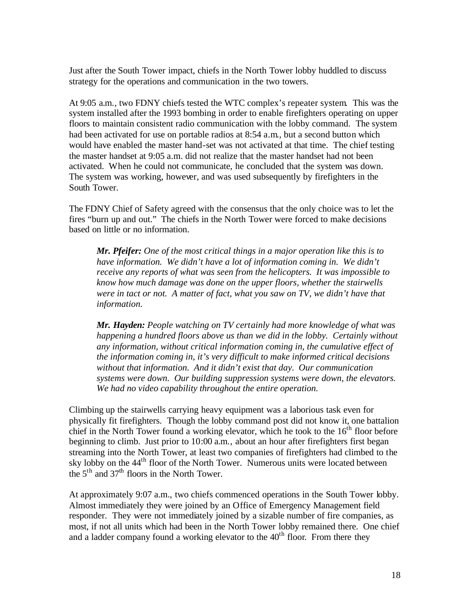Just after the South Tower impact, chiefs in the North Tower lobby huddled to discuss strategy for the operations and communication in the two towers.

At 9:05 a.m., two FDNY chiefs tested the WTC complex's repeater system. This was the system installed after the 1993 bombing in order to enable firefighters operating on upper floors to maintain consistent radio communication with the lobby command. The system had been activated for use on portable radios at 8:54 a.m., but a second button which would have enabled the master hand-set was not activated at that time. The chief testing the master handset at 9:05 a.m. did not realize that the master handset had not been activated. When he could not communicate, he concluded that the system was down. The system was working, however, and was used subsequently by firefighters in the South Tower.

The FDNY Chief of Safety agreed with the consensus that the only choice was to let the fires "burn up and out." The chiefs in the North Tower were forced to make decisions based on little or no information.

*Mr. Pfeifer: One of the most critical things in a major operation like this is to have information. We didn't have a lot of information coming in. We didn't receive any reports of what was seen from the helicopters. It was impossible to know how much damage was done on the upper floors, whether the stairwells were in tact or not. A matter of fact, what you saw on TV, we didn't have that information.*

*Mr. Hayden: People watching on TV certainly had more knowledge of what was happening a hundred floors above us than we did in the lobby. Certainly without any information, without critical information coming in, the cumulative effect of the information coming in, it's very difficult to make informed critical decisions without that information. And it didn't exist that day. Our communication systems were down. Our building suppression systems were down, the elevators. We had no video capability throughout the entire operation.*

Climbing up the stairwells carrying heavy equipment was a laborious task even for physically fit firefighters. Though the lobby command post did not know it, one battalion chief in the North Tower found a working elevator, which he took to the  $16<sup>th</sup>$  floor before beginning to climb. Just prior to 10:00 a.m., about an hour after firefighters first began streaming into the North Tower, at least two companies of firefighters had climbed to the sky lobby on the 44<sup>th</sup> floor of the North Tower. Numerous units were located between the  $5<sup>th</sup>$  and  $37<sup>th</sup>$  floors in the North Tower.

At approximately 9:07 a.m., two chiefs commenced operations in the South Tower lobby. Almost immediately they were joined by an Office of Emergency Management field responder. They were not immediately joined by a sizable number of fire companies, as most, if not all units which had been in the North Tower lobby remained there. One chief and a ladder company found a working elevator to the  $40<sup>th</sup>$  floor. From there they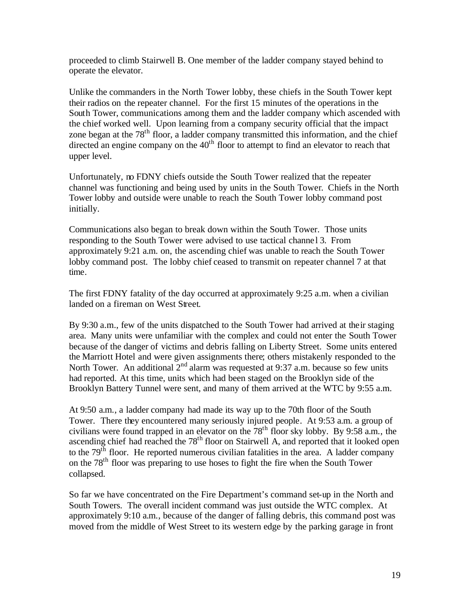proceeded to climb Stairwell B. One member of the ladder company stayed behind to operate the elevator.

Unlike the commanders in the North Tower lobby, these chiefs in the South Tower kept their radios on the repeater channel. For the first 15 minutes of the operations in the South Tower, communications among them and the ladder company which ascended with the chief worked well. Upon learning from a company security official that the impact zone began at the  $78<sup>th</sup>$  floor, a ladder company transmitted this information, and the chief directed an engine company on the  $40<sup>th</sup>$  floor to attempt to find an elevator to reach that upper level.

Unfortunately, no FDNY chiefs outside the South Tower realized that the repeater channel was functioning and being used by units in the South Tower. Chiefs in the North Tower lobby and outside were unable to reach the South Tower lobby command post initially.

Communications also began to break down within the South Tower. Those units responding to the South Tower were advised to use tactical channel 3. From approximately 9:21 a.m. on, the ascending chief was unable to reach the South Tower lobby command post. The lobby chief ceased to transmit on repeater channel 7 at that time.

The first FDNY fatality of the day occurred at approximately 9:25 a.m. when a civilian landed on a fireman on West Street.

By 9:30 a.m., few of the units dispatched to the South Tower had arrived at their staging area. Many units were unfamiliar with the complex and could not enter the South Tower because of the danger of victims and debris falling on Liberty Street. Some units entered the Marriott Hotel and were given assignments there; others mistakenly responded to the North Tower. An additional  $2<sup>nd</sup>$  alarm was requested at 9:37 a.m. because so few units had reported. At this time, units which had been staged on the Brooklyn side of the Brooklyn Battery Tunnel were sent, and many of them arrived at the WTC by 9:55 a.m.

At 9:50 a.m., a ladder company had made its way up to the 70th floor of the South Tower. There they encountered many seriously injured people. At 9:53 a.m. a group of civilians were found trapped in an elevator on the  $78<sup>th</sup>$  floor sky lobby. By 9:58 a.m., the ascending chief had reached the  $78<sup>th</sup>$  floor on Stairwell A, and reported that it looked open to the  $79<sup>th</sup>$  floor. He reported numerous civilian fatalities in the area. A ladder company on the 78<sup>th</sup> floor was preparing to use hoses to fight the fire when the South Tower collapsed.

So far we have concentrated on the Fire Department's command set-up in the North and South Towers. The overall incident command was just outside the WTC complex. At approximately 9:10 a.m., because of the danger of falling debris, this command post was moved from the middle of West Street to its western edge by the parking garage in front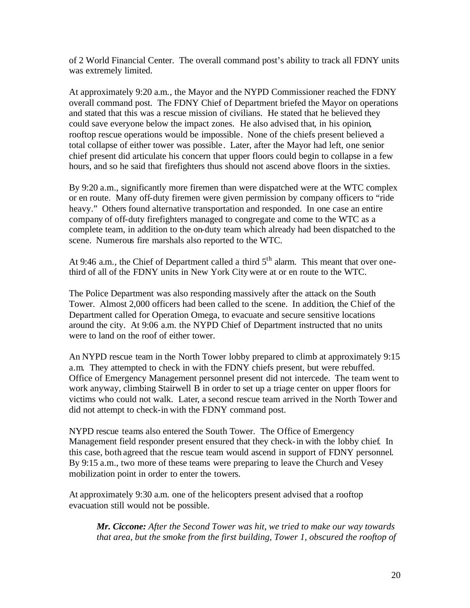of 2 World Financial Center. The overall command post's ability to track all FDNY units was extremely limited.

At approximately 9:20 a.m., the Mayor and the NYPD Commissioner reached the FDNY overall command post. The FDNY Chief of Department briefed the Mayor on operations and stated that this was a rescue mission of civilians. He stated that he believed they could save everyone below the impact zones. He also advised that, in his opinion, rooftop rescue operations would be impossible. None of the chiefs present believed a total collapse of either tower was possible . Later, after the Mayor had left, one senior chief present did articulate his concern that upper floors could begin to collapse in a few hours, and so he said that firefighters thus should not ascend above floors in the sixties.

By 9:20 a.m., significantly more firemen than were dispatched were at the WTC complex or en route. Many off-duty firemen were given permission by company officers to "ride heavy." Others found alternative transportation and responded. In one case an entire company of off-duty firefighters managed to congregate and come to the WTC as a complete team, in addition to the on-duty team which already had been dispatched to the scene. Numerous fire marshals also reported to the WTC.

At 9:46 a.m., the Chief of Department called a third  $5<sup>th</sup>$  alarm. This meant that over onethird of all of the FDNY units in New York City were at or en route to the WTC.

The Police Department was also responding massively after the attack on the South Tower. Almost 2,000 officers had been called to the scene. In addition, the Chief of the Department called for Operation Omega, to evacuate and secure sensitive locations around the city. At 9:06 a.m. the NYPD Chief of Department instructed that no units were to land on the roof of either tower.

An NYPD rescue team in the North Tower lobby prepared to climb at approximately 9:15 a.m. They attempted to check in with the FDNY chiefs present, but were rebuffed. Office of Emergency Management personnel present did not intercede. The team went to work anyway, climbing Stairwell B in order to set up a triage center on upper floors for victims who could not walk. Later, a second rescue team arrived in the North Tower and did not attempt to check-in with the FDNY command post.

NYPD rescue teams also entered the South Tower. The Office of Emergency Management field responder present ensured that they check-in with the lobby chief. In this case, both agreed that the rescue team would ascend in support of FDNY personnel. By 9:15 a.m., two more of these teams were preparing to leave the Church and Vesey mobilization point in order to enter the towers.

At approximately 9:30 a.m. one of the helicopters present advised that a rooftop evacuation still would not be possible.

*Mr. Ciccone: After the Second Tower was hit, we tried to make our way towards that area, but the smoke from the first building, Tower 1, obscured the rooftop of*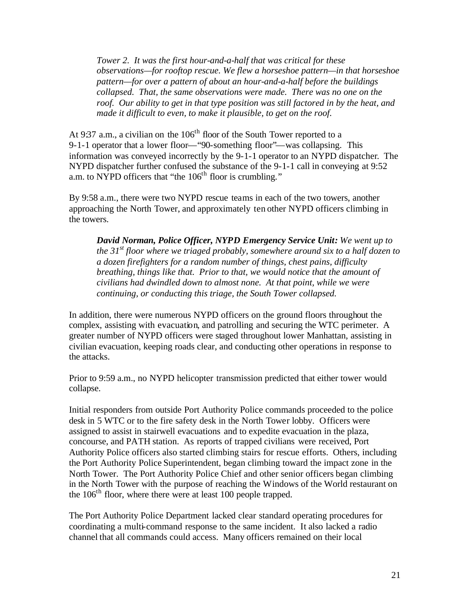*Tower 2. It was the first hour-and-a-half that was critical for these observations—for rooftop rescue. We flew a horseshoe pattern—in that horseshoe pattern—for over a pattern of about an hour-and-a-half before the buildings collapsed. That, the same observations were made. There was no one on the*  roof. Our ability to get in that type position was still factored in by the heat, and *made it difficult to even, to make it plausible, to get on the roof.*

At 9:37 a.m., a civilian on the  $106<sup>th</sup>$  floor of the South Tower reported to a 9-1-1 operator that a lower floor—"90-something floor"—was collapsing. This information was conveyed incorrectly by the 9-1-1 operator to an NYPD dispatcher. The NYPD dispatcher further confused the substance of the 9-1-1 call in conveying at 9:52 a.m. to NYPD officers that "the  $106<sup>th</sup>$  floor is crumbling."

By 9:58 a.m., there were two NYPD rescue teams in each of the two towers, another approaching the North Tower, and approximately ten other NYPD officers climbing in the towers.

*David Norman, Police Officer, NYPD Emergency Service Unit: We went up to the 31st floor where we triaged probably, somewhere around six to a half dozen to a dozen firefighters for a random number of things, chest pains, difficulty breathing, things like that. Prior to that, we would notice that the amount of civilians had dwindled down to almost none. At that point, while we were continuing, or conducting this triage, the South Tower collapsed.* 

In addition, there were numerous NYPD officers on the ground floors throughout the complex, assisting with evacuation, and patrolling and securing the WTC perimeter. A greater number of NYPD officers were staged throughout lower Manhattan, assisting in civilian evacuation, keeping roads clear, and conducting other operations in response to the attacks.

Prior to 9:59 a.m., no NYPD helicopter transmission predicted that either tower would collapse.

Initial responders from outside Port Authority Police commands proceeded to the police desk in 5 WTC or to the fire safety desk in the North Tower lobby. Officers were assigned to assist in stairwell evacuations and to expedite evacuation in the plaza, concourse, and PATH station. As reports of trapped civilians were received, Port Authority Police officers also started climbing stairs for rescue efforts. Others, including the Port Authority Police Superintendent, began climbing toward the impact zone in the North Tower. The Port Authority Police Chief and other senior officers began climbing in the North Tower with the purpose of reaching the Windows of the World restaurant on the  $106<sup>th</sup>$  floor, where there were at least 100 people trapped.

The Port Authority Police Department lacked clear standard operating procedures for coordinating a multi-command response to the same incident. It also lacked a radio channel that all commands could access. Many officers remained on their local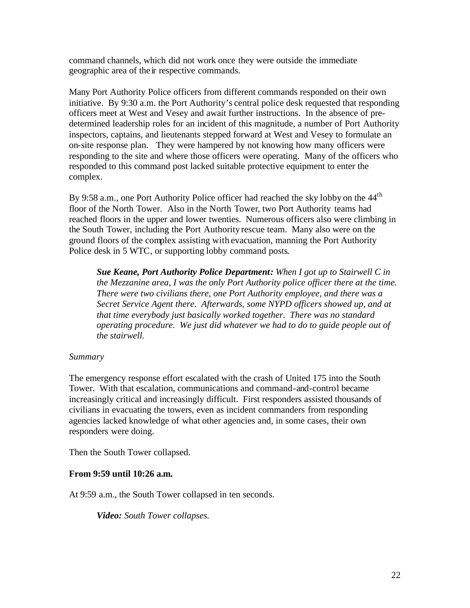command channels, which did not work once they were outside the immediate geographic area of the ir respective commands.

Many Port Authority Police officers from different commands responded on their own initiative. By 9:30 a.m. the Port Authority's central police desk requested that responding officers meet at West and Vesey and await further instructions. In the absence of predetermined leadership roles for an incident of this magnitude, a number of Port Authority inspectors, captains, and lieutenants stepped forward at West and Vesey to formulate an on-site response plan. They were hampered by not knowing how many officers were responding to the site and where those officers were operating. Many of the officers who responded to this command post lacked suitable protective equipment to enter the complex.

By 9:58 a.m., one Port Authority Police officer had reached the sky lobby on the 44<sup>th</sup> floor of the North Tower. Also in the North Tower, two Port Authority teams had reached floors in the upper and lower twenties. Numerous officers also were climbing in the South Tower, including the Port Authority rescue team. Many also were on the ground floors of the complex assisting with evacuation, manning the Port Authority Police desk in 5 WTC, or supporting lobby command posts.

*Sue Keane, Port Authority Police Department: When I got up to Stairwell C in the Mezzanine area, I was the only Port Authority police officer there at the time. There were two civilians there, one Port Authority employee, and there was a Secret Service Agent there. Afterwards, some NYPD officers showed up, and at that time everybody just basically worked together. There was no standard operating procedure. We just did whatever we had to do to guide people out of the stairwell.*

### *Summary*

The emergency response effort escalated with the crash of United 175 into the South Tower. With that escalation, communications and command-and-control became increasingly critical and increasingly difficult. First responders assisted thousands of civilians in evacuating the towers, even as incident commanders from responding agencies lacked knowledge of what other agencies and, in some cases, their own responders were doing.

Then the South Tower collapsed.

### **From 9:59 until 10:26 a.m.**

At 9:59 a.m., the South Tower collapsed in ten seconds.

*Video: South Tower collapses.*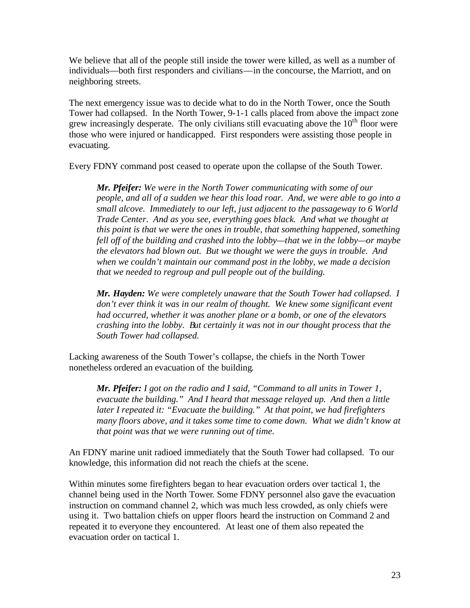We believe that all of the people still inside the tower were killed, as well as a number of individuals—both first responders and civilians—in the concourse, the Marriott, and on neighboring streets.

The next emergency issue was to decide what to do in the North Tower, once the South Tower had collapsed. In the North Tower, 9-1-1 calls placed from above the impact zone grew increasingly desperate. The only civilians still evacuating above the  $10<sup>th</sup>$  floor were those who were injured or handicapped. First responders were assisting those people in evacuating.

Every FDNY command post ceased to operate upon the collapse of the South Tower.

*Mr. Pfeifer: We were in the North Tower communicating with some of our people, and all of a sudden we hear this load roar. And, we were able to go into a small alcove. Immediately to our left, just adjacent to the passageway to 6 World Trade Center. And as you see, everything goes black. And what we thought at this point is that we were the ones in trouble, that something happened, something fell off of the building and crashed into the lobby—that we in the lobby—or maybe the elevators had blown out. But we thought we were the guys in trouble. And when we couldn't maintain our command post in the lobby, we made a decision that we needed to regroup and pull people out of the building.*

*Mr. Hayden: We were completely unaware that the South Tower had collapsed. I don't ever think it was in our realm of thought. We knew some significant event had occurred, whether it was another plane or a bomb, or one of the elevators crashing into the lobby. But certainly it was not in our thought process that the South Tower had collapsed.*

Lacking awareness of the South Tower's collapse, the chiefs in the North Tower nonetheless ordered an evacuation of the building.

*Mr. Pfeifer: I got on the radio and I said, "Command to all units in Tower 1, evacuate the building." And I heard that message relayed up. And then a little later I repeated it: "Evacuate the building." At that point, we had firefighters many floors above, and it takes some time to come down. What we didn't know at that point was that we were running out of time.*

An FDNY marine unit radioed immediately that the South Tower had collapsed. To our knowledge, this information did not reach the chiefs at the scene.

Within minutes some firefighters began to hear evacuation orders over tactical 1, the channel being used in the North Tower. Some FDNY personnel also gave the evacuation instruction on command channel 2, which was much less crowded, as only chiefs were using it. Two battalion chiefs on upper floors heard the instruction on Command 2 and repeated it to everyone they encountered. At least one of them also repeated the evacuation order on tactical 1.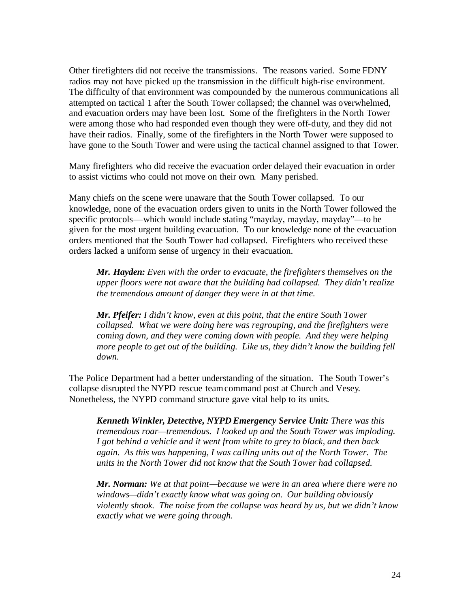Other firefighters did not receive the transmissions. The reasons varied. Some FDNY radios may not have picked up the transmission in the difficult high-rise environment. The difficulty of that environment was compounded by the numerous communications all attempted on tactical 1 after the South Tower collapsed; the channel was overwhelmed, and evacuation orders may have been lost. Some of the firefighters in the North Tower were among those who had responded even though they were off-duty, and they did not have their radios. Finally, some of the firefighters in the North Tower were supposed to have gone to the South Tower and were using the tactical channel assigned to that Tower.

Many firefighters who did receive the evacuation order delayed their evacuation in order to assist victims who could not move on their own. Many perished.

Many chiefs on the scene were unaware that the South Tower collapsed. To our knowledge, none of the evacuation orders given to units in the North Tower followed the specific protocols—which would include stating "mayday, mayday, mayday"—to be given for the most urgent building evacuation. To our knowledge none of the evacuation orders mentioned that the South Tower had collapsed. Firefighters who received these orders lacked a uniform sense of urgency in their evacuation.

*Mr. Hayden: Even with the order to evacuate, the firefighters themselves on the upper floors were not aware that the building had collapsed. They didn't realize the tremendous amount of danger they were in at that time.*

*Mr. Pfeifer: I didn't know, even at this point, that the entire South Tower collapsed. What we were doing here was regrouping, and the firefighters were coming down, and they were coming down with people. And they were helping more people to get out of the building. Like us, they didn't know the building fell down.*

The Police Department had a better understanding of the situation. The South Tower's collapse disrupted the NYPD rescue team command post at Church and Vesey. Nonetheless, the NYPD command structure gave vital help to its units.

*Kenneth Winkler, Detective, NYPD Emergency Service Unit: There was this tremendous roar—tremendous. I looked up and the South Tower was imploding. I got behind a vehicle and it went from white to grey to black, and then back again. As this was happening, I was calling units out of the North Tower. The units in the North Tower did not know that the South Tower had collapsed.*

*Mr. Norman: We at that point—because we were in an area where there were no windows—didn't exactly know what was going on. Our building obviously violently shook. The noise from the collapse was heard by us, but we didn't know exactly what we were going through.*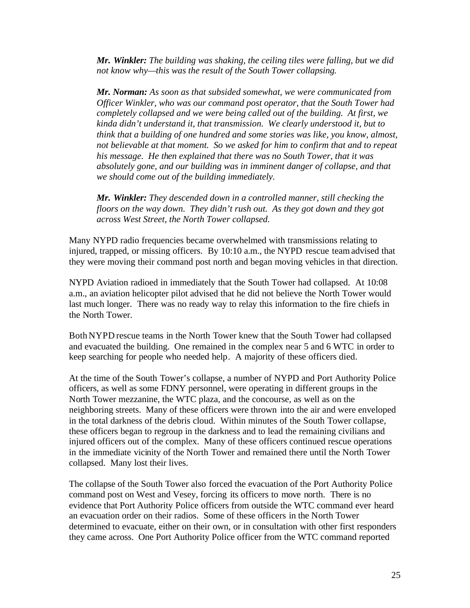*Mr. Winkler: The building was shaking, the ceiling tiles were falling, but we did not know why—this was the result of the South Tower collapsing.*

*Mr. Norman: As soon as that subsided somewhat, we were communicated from Officer Winkler, who was our command post operator, that the South Tower had completely collapsed and we were being called out of the building. At first, we kinda didn't understand it, that transmission. We clearly understood it, but to think that a building of one hundred and some stories was like, you know, almost, not believable at that moment. So we asked for him to confirm that and to repeat his message. He then explained that there was no South Tower, that it was absolutely gone, and our building was in imminent danger of collapse, and that we should come out of the building immediately.*

*Mr. Winkler: They descended down in a controlled manner, still checking the floors on the way down. They didn't rush out. As they got down and they got across West Street, the North Tower collapsed.*

Many NYPD radio frequencies became overwhelmed with transmissions relating to injured, trapped, or missing officers. By 10:10 a.m., the NYPD rescue team advised that they were moving their command post north and began moving vehicles in that direction.

NYPD Aviation radioed in immediately that the South Tower had collapsed. At 10:08 a.m., an aviation helicopter pilot advised that he did not believe the North Tower would last much longer. There was no ready way to relay this information to the fire chiefs in the North Tower.

Both NYPD rescue teams in the North Tower knew that the South Tower had collapsed and evacuated the building. One remained in the complex near 5 and 6 WTC in order to keep searching for people who needed help. A majority of these officers died.

At the time of the South Tower's collapse, a number of NYPD and Port Authority Police officers, as well as some FDNY personnel, were operating in different groups in the North Tower mezzanine, the WTC plaza, and the concourse, as well as on the neighboring streets. Many of these officers were thrown into the air and were enveloped in the total darkness of the debris cloud. Within minutes of the South Tower collapse, these officers began to regroup in the darkness and to lead the remaining civilians and injured officers out of the complex. Many of these officers continued rescue operations in the immediate vicinity of the North Tower and remained there until the North Tower collapsed. Many lost their lives.

The collapse of the South Tower also forced the evacuation of the Port Authority Police command post on West and Vesey, forcing its officers to move north. There is no evidence that Port Authority Police officers from outside the WTC command ever heard an evacuation order on their radios. Some of these officers in the North Tower determined to evacuate, either on their own, or in consultation with other first responders they came across. One Port Authority Police officer from the WTC command reported